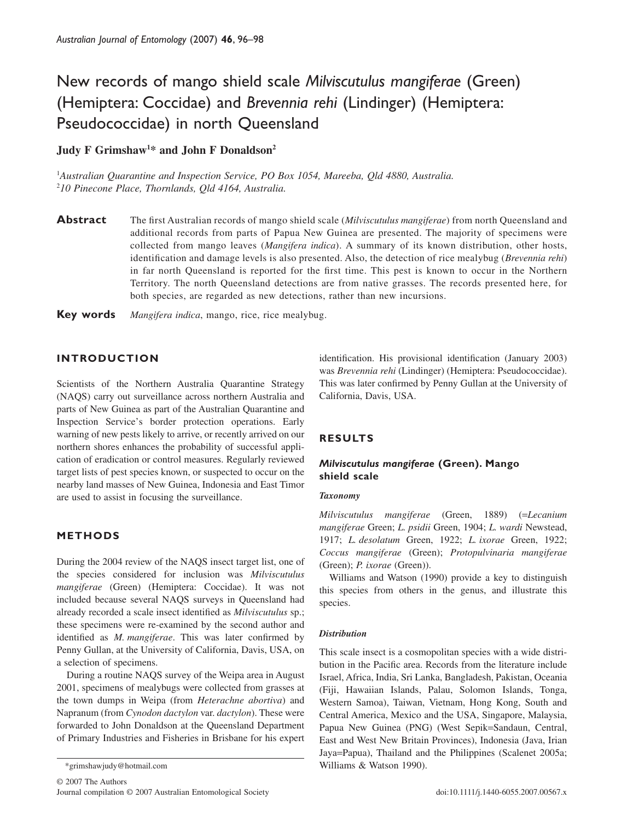# New records of mango shield scale *Milviscutulus mangiferae* (Green) (Hemiptera: Coccidae) and *Brevennia rehi* (Lindinger) (Hemiptera: Pseudococcidae) in north Queensland

# **Judy F Grimshaw1 \* and John F Donaldson2**

1 *Australian Quarantine and Inspection Service, PO Box 1054, Mareeba, Qld 4880, Australia.* 2 *10 Pinecone Place, Thornlands, Qld 4164, Australia.*

**Abstract** The first Australian records of mango shield scale (*Milviscutulus mangiferae*) from north Queensland and additional records from parts of Papua New Guinea are presented. The majority of specimens were collected from mango leaves (*Mangifera indica*). A summary of its known distribution, other hosts, identification and damage levels is also presented. Also, the detection of rice mealybug (*Brevennia rehi*) in far north Queensland is reported for the first time. This pest is known to occur in the Northern Territory. The north Queensland detections are from native grasses. The records presented here, for both species, are regarded as new detections, rather than new incursions.

**Key words** *Mangifera indica*, mango, rice, rice mealybug.

# **INTRODUCTION**

Scientists of the Northern Australia Quarantine Strategy (NAQS) carry out surveillance across northern Australia and parts of New Guinea as part of the Australian Quarantine and Inspection Service's border protection operations. Early warning of new pests likely to arrive, or recently arrived on our northern shores enhances the probability of successful application of eradication or control measures. Regularly reviewed target lists of pest species known, or suspected to occur on the nearby land masses of New Guinea, Indonesia and East Timor are used to assist in focusing the surveillance.

# **METHODS**

During the 2004 review of the NAQS insect target list, one of the species considered for inclusion was *Milviscutulus mangiferae* (Green) (Hemiptera: Coccidae). It was not included because several NAQS surveys in Queensland had already recorded a scale insect identified as *Milviscutulus* sp.; these specimens were re-examined by the second author and identified as *M. mangiferae*. This was later confirmed by Penny Gullan, at the University of California, Davis, USA, on a selection of specimens.

During a routine NAQS survey of the Weipa area in August 2001, specimens of mealybugs were collected from grasses at the town dumps in Weipa (from *Heterachne abortiva*) and Napranum (from *Cynodon dactylon* var. *dactylon*). These were forwarded to John Donaldson at the Queensland Department of Primary Industries and Fisheries in Brisbane for his expert identification. His provisional identification (January 2003) was *Brevennia rehi* (Lindinger) (Hemiptera: Pseudococcidae). This was later confirmed by Penny Gullan at the University of California, Davis, USA.

# **RESULTS**

# *Milviscutulus mangiferae* **(Green). Mango shield scale**

## *Taxonomy*

*Milviscutulus mangiferae* (Green, 1889) (=*Lecanium mangiferae* Green; *L. psidii* Green, 1904; *L. wardi* Newstead, 1917; *L. desolatum* Green, 1922; *L. ixorae* Green, 1922; *Coccus mangiferae* (Green); *Protopulvinaria mangiferae* (Green); *P. ixorae* (Green)).

Williams and Watson (1990) provide a key to distinguish this species from others in the genus, and illustrate this species.

## *Distribution*

This scale insect is a cosmopolitan species with a wide distribution in the Pacific area. Records from the literature include Israel, Africa, India, Sri Lanka, Bangladesh, Pakistan, Oceania (Fiji, Hawaiian Islands, Palau, Solomon Islands, Tonga, Western Samoa), Taiwan, Vietnam, Hong Kong, South and Central America, Mexico and the USA, Singapore, Malaysia, Papua New Guinea (PNG) (West Sepik=Sandaun, Central, East and West New Britain Provinces), Indonesia (Java, Irian Jaya=Papua), Thailand and the Philippines (Scalenet 2005a; \*[grimshawjudy@hotmail.com](mailto:grimshawjudy@hotmail.com) Williams & Watson 1990).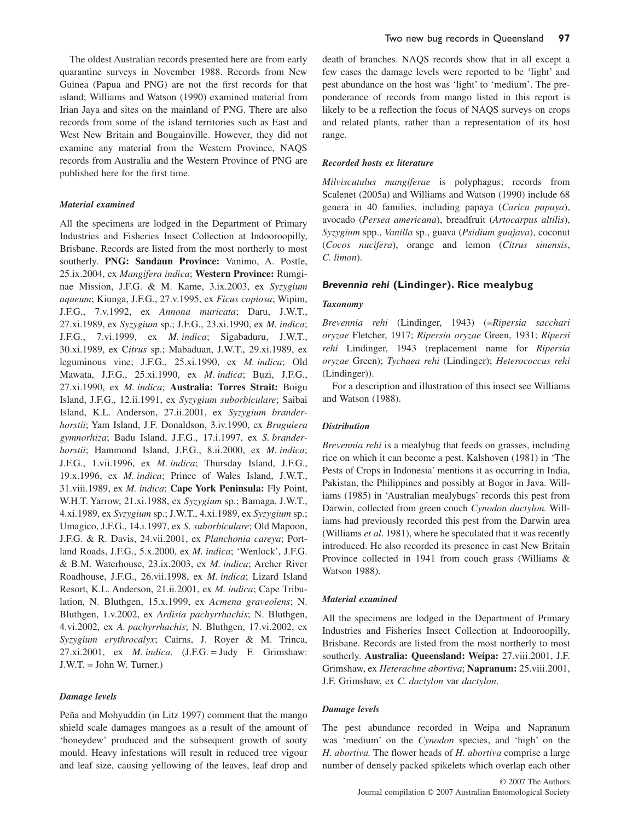The oldest Australian records presented here are from early quarantine surveys in November 1988. Records from New Guinea (Papua and PNG) are not the first records for that island; Williams and Watson (1990) examined material from Irian Jaya and sites on the mainland of PNG. There are also records from some of the island territories such as East and West New Britain and Bougainville. However, they did not examine any material from the Western Province, NAQS records from Australia and the Western Province of PNG are published here for the first time.

#### *Material examined*

All the specimens are lodged in the Department of Primary Industries and Fisheries Insect Collection at Indooroopilly, Brisbane. Records are listed from the most northerly to most southerly. **PNG: Sandaun Province:** Vanimo, A. Postle, 25.ix.2004, ex *Mangifera indica*; **Western Province:** Rumginae Mission, J.F.G. & M. Kame, 3.ix.2003, ex *Syzygium aqueum*; Kiunga, J.F.G., 27.v.1995, ex *Ficus copiosa*; Wipim, J.F.G., 7.v.1992, ex *Annona muricata*; Daru, J.W.T., 27.xi.1989, ex *Syzygium* sp.; J.F.G., 23.xi.1990, ex *M. indica*; J.F.G., 7.vi.1999, ex *M. indica*; Sigabaduru, J.W.T., 30.xi.1989, ex C*itrus* sp.; Mabaduan, J.W.T., 29.xi.1989, ex leguminous vine; J.F.G., 25.xi.1990, ex *M. indica*; Old Mawata, J.F.G., 25.xi.1990, ex *M. indica*; Buzi, J.F.G., 27.xi.1990, ex *M. indica*; **Australia: Torres Strait:** Boigu Island, J.F.G., 12.ii.1991, ex *Syzygium suborbiculare*; Saibai Island, K.L. Anderson, 27.ii.2001, ex *Syzygium branderhorstii*; Yam Island, J.F. Donaldson, 3.iv.1990, ex *Bruguiera gymnorhiza*; Badu Island, J.F.G., 17.i.1997, ex *S. branderhorstii*; Hammond Island, J.F.G., 8.ii.2000, ex *M. indica*; J.F.G., 1.vii.1996, ex *M. indica*; Thursday Island, J.F.G., 19.x.1996, ex *M. indica*; Prince of Wales Island, J.W.T., 31.viii.1989, ex *M. indica*; **Cape York Peninsula:** Fly Point, W.H.T. Yarrow, 21.xi.1988, ex *Syzygium* sp.; Bamaga, J.W.T., 4.xi.1989, ex *Syzygium* sp.; J.W.T., 4.xi.1989, ex *Syzygium* sp.; Umagico, J.F.G., 14.i.1997, ex *S. suborbiculare*; Old Mapoon, J.F.G. & R. Davis, 24.vii.2001, ex *Planchonia careya*; Portland Roads, J.F.G., 5.x.2000, ex *M. indica*; 'Wenlock', J.F.G. & B.M. Waterhouse, 23.ix.2003, ex *M. indica*; Archer River Roadhouse, J.F.G., 26.vii.1998, ex *M. indica*; Lizard Island Resort, K.L. Anderson, 21.ii.2001, ex *M. indica*; Cape Tribulation, N. Bluthgen, 15.x.1999, ex *Acmena graveolens*; N. Bluthgen, 1.v.2002, ex *Ardisia pachyrrhachis*; N. Bluthgen, 4.vi.2002, ex *A. pachyrrhachis*; N. Bluthgen, 17.vi.2002, ex *Syzygium erythrocalyx*; Cairns, J. Royer & M. Trinca, 27.xi.2001, ex *M. indica*. (J.F.G. = Judy F. Grimshaw: J.W.T. = John W. Turner.)

#### *Damage levels*

Peña and Mohyuddin (in Litz 1997) comment that the mango shield scale damages mangoes as a result of the amount of 'honeydew' produced and the subsequent growth of sooty mould. Heavy infestations will result in reduced tree vigour and leaf size, causing yellowing of the leaves, leaf drop and

death of branches. NAQS records show that in all except a few cases the damage levels were reported to be 'light' and pest abundance on the host was 'light' to 'medium'. The preponderance of records from mango listed in this report is likely to be a reflection the focus of NAQS surveys on crops and related plants, rather than a representation of its host range.

#### *Recorded hosts ex literature*

*Milviscutulus mangiferae* is polyphagus; records from Scalenet (2005a) and Williams and Watson (1990) include 68 genera in 40 families, including papaya (*Carica papaya*), avocado (*Persea americana*), breadfruit (*Artocarpus altilis*), *Syzygium* spp., *Vanilla* sp., guava (*Psidium guajava*), coconut (*Cocos nucifera*), orange and lemon (*Citrus sinensis*, *C. limon*).

#### *Brevennia rehi* **(Lindinger). Rice mealybug**

#### *Taxonomy*

*Brevennia rehi* (Lindinger, 1943) (=*Ripersia sacchari oryzae* Fletcher, 1917; *Ripersia oryzae* Green, 1931; *Ripersi rehi* Lindinger, 1943 (replacement name for *Ripersia oryzae* Green); *Tychaea rehi* (Lindinger); *Heterococcus rehi* (Lindinger)).

For a description and illustration of this insect see Williams and Watson (1988).

#### *Distribution*

*Brevennia rehi* is a mealybug that feeds on grasses, including rice on which it can become a pest. Kalshoven (1981) in 'The Pests of Crops in Indonesia' mentions it as occurring in India, Pakistan, the Philippines and possibly at Bogor in Java. Williams (1985) in 'Australian mealybugs' records this pest from Darwin, collected from green couch *Cynodon dactylon.* Williams had previously recorded this pest from the Darwin area (Williams *et al*. 1981), where he speculated that it was recently introduced. He also recorded its presence in east New Britain Province collected in 1941 from couch grass (Williams & Watson 1988).

#### *Material examined*

All the specimens are lodged in the Department of Primary Industries and Fisheries Insect Collection at Indooroopilly, Brisbane. Records are listed from the most northerly to most southerly. **Australia: Queensland: Weipa:** 27.viii.2001, J.F. Grimshaw, ex *Heterachne abortiva*; **Napranum:** 25.viii.2001, J.F. Grimshaw, ex *C. dactylon* var *dactylon*.

#### *Damage levels*

The pest abundance recorded in Weipa and Napranum was 'medium' on the *Cynodon* species, and 'high' on the *H. abortiva.* The flower heads of *H. abortiva* comprise a large number of densely packed spikelets which overlap each other